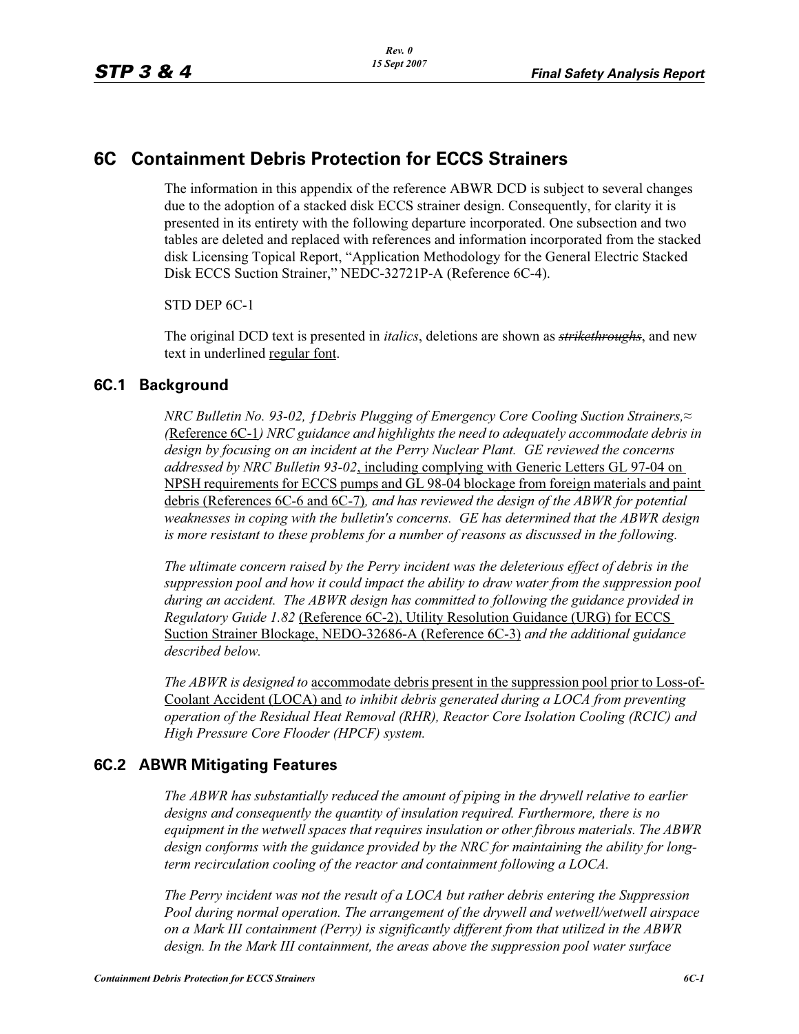# **6C Containment Debris Protection for ECCS Strainers**

The information in this appendix of the reference ABWR DCD is subject to several changes due to the adoption of a stacked disk ECCS strainer design. Consequently, for clarity it is presented in its entirety with the following departure incorporated. One subsection and two tables are deleted and replaced with references and information incorporated from the stacked disk Licensing Topical Report, "Application Methodology for the General Electric Stacked Disk ECCS Suction Strainer," NEDC-32721P-A (Reference 6C-4).

STD DEP 6C-1

The original DCD text is presented in *italics*, deletions are shown as *strikethroughs*, and new text in underlined regular font.

#### **6C.1 Background**

*NRC Bulletin No. 93-02, {Debris Plugging of Emergency Core Cooling Suction Strainers,≈ (*Reference 6C-1*) NRC guidance and highlights the need to adequately accommodate debris in design by focusing on an incident at the Perry Nuclear Plant. GE reviewed the concerns addressed by NRC Bulletin 93-02*, including complying with Generic Letters GL 97-04 on NPSH requirements for ECCS pumps and GL 98-04 blockage from foreign materials and paint debris (References 6C-6 and 6C-7)*, and has reviewed the design of the ABWR for potential weaknesses in coping with the bulletin's concerns. GE has determined that the ABWR design is more resistant to these problems for a number of reasons as discussed in the following.* 

*The ultimate concern raised by the Perry incident was the deleterious effect of debris in the suppression pool and how it could impact the ability to draw water from the suppression pool during an accident. The ABWR design has committed to following the guidance provided in Regulatory Guide 1.82* (Reference 6C-2), Utility Resolution Guidance (URG) for ECCS Suction Strainer Blockage, NEDO-32686-A (Reference 6C-3) *and the additional guidance described below.* 

*The ABWR is designed to* accommodate debris present in the suppression pool prior to Loss-of-Coolant Accident (LOCA) and *to inhibit debris generated during a LOCA from preventing operation of the Residual Heat Removal (RHR), Reactor Core Isolation Cooling (RCIC) and High Pressure Core Flooder (HPCF) system.* 

### **6C.2 ABWR Mitigating Features**

*The ABWR has substantially reduced the amount of piping in the drywell relative to earlier designs and consequently the quantity of insulation required. Furthermore, there is no equipment in the wetwell spaces that requires insulation or other fibrous materials. The ABWR design conforms with the guidance provided by the NRC for maintaining the ability for longterm recirculation cooling of the reactor and containment following a LOCA.* 

*The Perry incident was not the result of a LOCA but rather debris entering the Suppression Pool during normal operation. The arrangement of the drywell and wetwell/wetwell airspace on a Mark III containment (Perry) is significantly different from that utilized in the ABWR design. In the Mark III containment, the areas above the suppression pool water surface*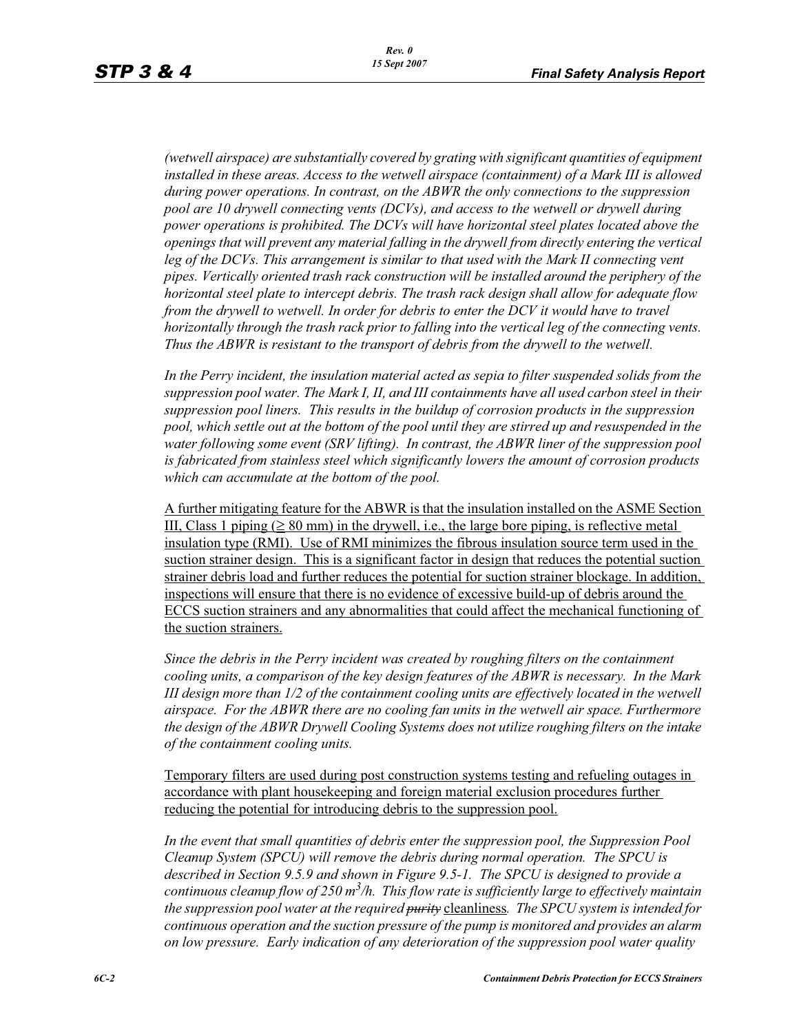*(wetwell airspace) are substantially covered by grating with significant quantities of equipment*  installed in these areas. Access to the wetwell airspace (containment) of a Mark III is allowed *during power operations. In contrast, on the ABWR the only connections to the suppression pool are 10 drywell connecting vents (DCVs), and access to the wetwell or drywell during power operations is prohibited. The DCVs will have horizontal steel plates located above the openings that will prevent any material falling in the drywell from directly entering the vertical*  leg of the DCVs. This arrangement is similar to that used with the Mark II connecting vent *pipes. Vertically oriented trash rack construction will be installed around the periphery of the horizontal steel plate to intercept debris. The trash rack design shall allow for adequate flow from the drywell to wetwell. In order for debris to enter the DCV it would have to travel horizontally through the trash rack prior to falling into the vertical leg of the connecting vents. Thus the ABWR is resistant to the transport of debris from the drywell to the wetwell.*

*In the Perry incident, the insulation material acted as sepia to filter suspended solids from the suppression pool water. The Mark I, II, and III containments have all used carbon steel in their suppression pool liners. This results in the buildup of corrosion products in the suppression pool, which settle out at the bottom of the pool until they are stirred up and resuspended in the water following some event (SRV lifting). In contrast, the ABWR liner of the suppression pool is fabricated from stainless steel which significantly lowers the amount of corrosion products which can accumulate at the bottom of the pool.* 

A further mitigating feature for the ABWR is that the insulation installed on the ASME Section III, Class 1 piping  $( \geq 80 \text{ mm})$  in the drywell, i.e., the large bore piping, is reflective metal insulation type (RMI). Use of RMI minimizes the fibrous insulation source term used in the suction strainer design. This is a significant factor in design that reduces the potential suction strainer debris load and further reduces the potential for suction strainer blockage. In addition, inspections will ensure that there is no evidence of excessive build-up of debris around the ECCS suction strainers and any abnormalities that could affect the mechanical functioning of the suction strainers.

*Since the debris in the Perry incident was created by roughing filters on the containment cooling units, a comparison of the key design features of the ABWR is necessary. In the Mark III design more than 1/2 of the containment cooling units are effectively located in the wetwell airspace. For the ABWR there are no cooling fan units in the wetwell air space. Furthermore the design of the ABWR Drywell Cooling Systems does not utilize roughing filters on the intake of the containment cooling units.* 

Temporary filters are used during post construction systems testing and refueling outages in accordance with plant housekeeping and foreign material exclusion procedures further reducing the potential for introducing debris to the suppression pool.

*In the event that small quantities of debris enter the suppression pool, the Suppression Pool Cleanup System (SPCU) will remove the debris during normal operation. The SPCU is described in Section 9.5.9 and shown in Figure 9.5-1. The SPCU is designed to provide a continuous cleanup flow of 250 m3 /h. This flow rate is sufficiently large to effectively maintain the suppression pool water at the required purity* cleanliness*. The SPCU system is intended for continuous operation and the suction pressure of the pump is monitored and provides an alarm on low pressure. Early indication of any deterioration of the suppression pool water quality*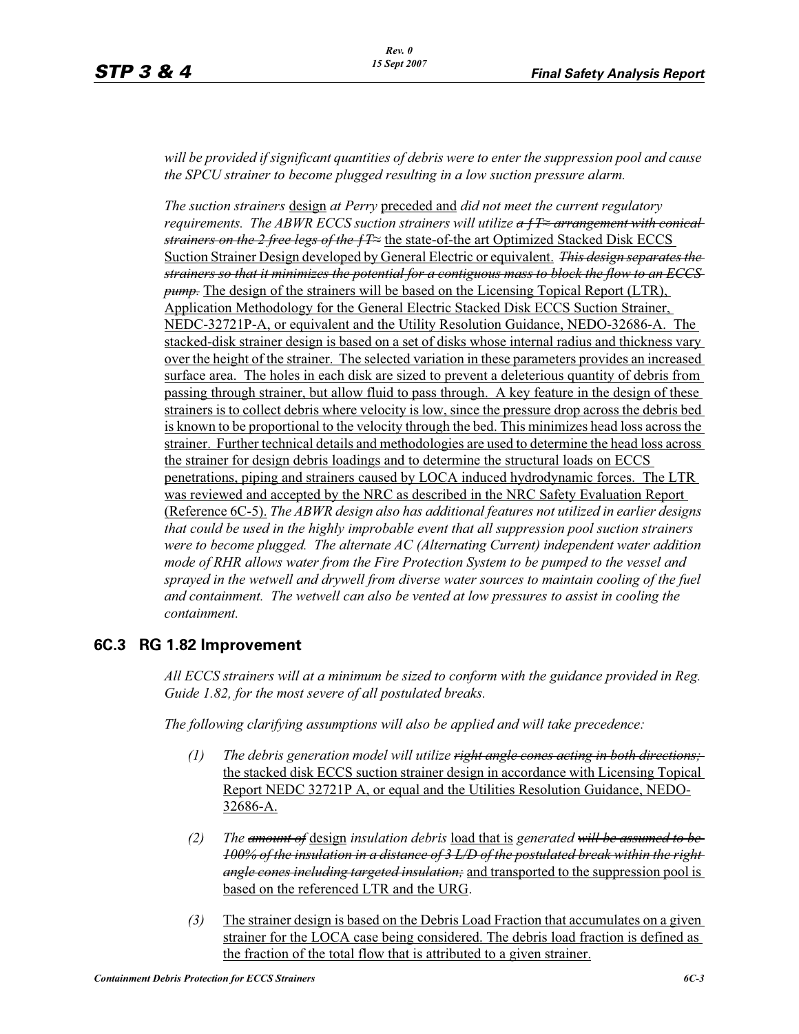*will be provided if significant quantities of debris were to enter the suppression pool and cause the SPCU strainer to become plugged resulting in a low suction pressure alarm.* 

*The suction strainers* design *at Perry* preceded and *did not meet the current regulatory requirements. The ABWR ECCS suction strainers will utilize <del>a f T arrangement with conical</del> strainers on the 2 free legs of the*  $f\bar{F}$  the state-of-the art Optimized Stacked Disk ECCS Suction Strainer Design developed by General Electric or equivalent. *This design separates the strainers so that it minimizes the potential for a contiguous mass to block the flow to an ECCS pump.* The design of the strainers will be based on the Licensing Topical Report (LTR), Application Methodology for the General Electric Stacked Disk ECCS Suction Strainer, NEDC-32721P-A, or equivalent and the Utility Resolution Guidance, NEDO-32686-A. The stacked-disk strainer design is based on a set of disks whose internal radius and thickness vary over the height of the strainer. The selected variation in these parameters provides an increased surface area. The holes in each disk are sized to prevent a deleterious quantity of debris from passing through strainer, but allow fluid to pass through. A key feature in the design of these strainers is to collect debris where velocity is low, since the pressure drop across the debris bed is known to be proportional to the velocity through the bed. This minimizes head loss across the strainer. Further technical details and methodologies are used to determine the head loss across the strainer for design debris loadings and to determine the structural loads on ECCS penetrations, piping and strainers caused by LOCA induced hydrodynamic forces. The LTR was reviewed and accepted by the NRC as described in the NRC Safety Evaluation Report (Reference 6C-5). *The ABWR design also has additional features not utilized in earlier designs that could be used in the highly improbable event that all suppression pool suction strainers were to become plugged. The alternate AC (Alternating Current) independent water addition mode of RHR allows water from the Fire Protection System to be pumped to the vessel and sprayed in the wetwell and drywell from diverse water sources to maintain cooling of the fuel and containment. The wetwell can also be vented at low pressures to assist in cooling the containment.*

#### **6C.3 RG 1.82 Improvement**

*All ECCS strainers will at a minimum be sized to conform with the guidance provided in Reg. Guide 1.82, for the most severe of all postulated breaks.*

*The following clarifying assumptions will also be applied and will take precedence:*

- *(1) The debris generation model will utilize right angle cones acting in both directions;*  the stacked disk ECCS suction strainer design in accordance with Licensing Topical Report NEDC 32721P A, or equal and the Utilities Resolution Guidance, NEDO-32686-A.
- *(2) The amount of* design *insulation debris* load that is *generated will be assumed to be 100% of the insulation in a distance of 3 L/D of the postulated break within the right angle cones including targeted insulation;* and transported to the suppression pool is based on the referenced LTR and the URG.
- *(3)* The strainer design is based on the Debris Load Fraction that accumulates on a given strainer for the LOCA case being considered. The debris load fraction is defined as the fraction of the total flow that is attributed to a given strainer.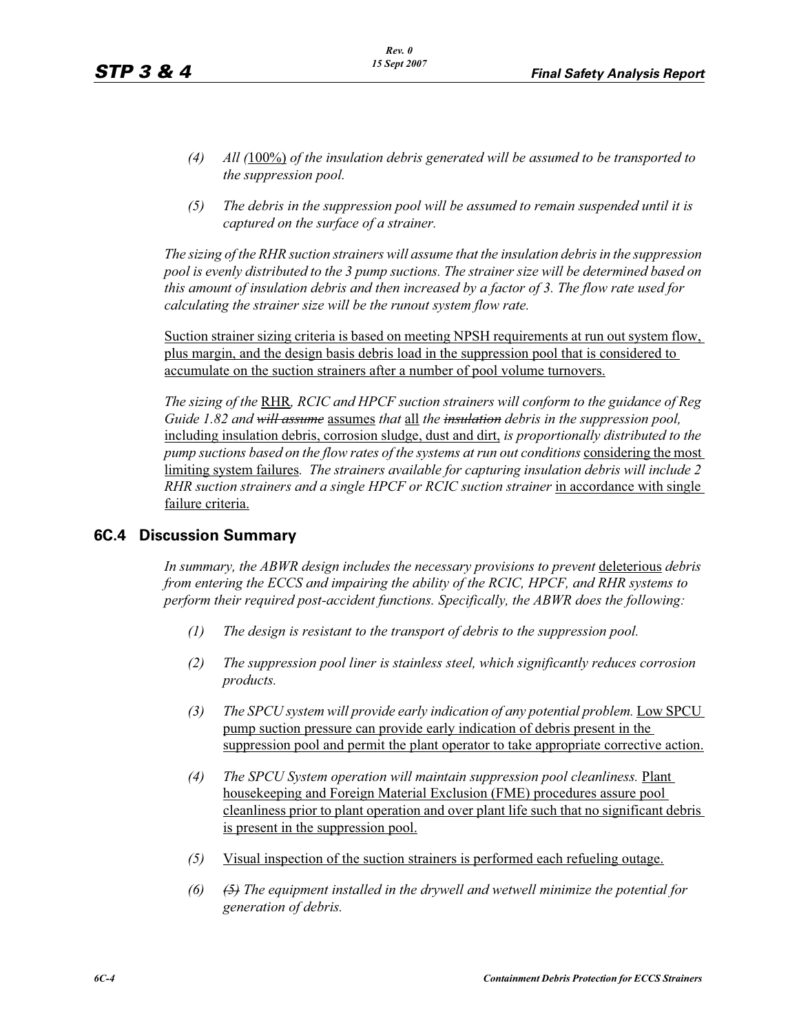- *(4) All (*100%) *of the insulation debris generated will be assumed to be transported to the suppression pool.*
- *(5) The debris in the suppression pool will be assumed to remain suspended until it is captured on the surface of a strainer.*

*The sizing of the RHR suction strainers will assume that the insulation debris in the suppression pool is evenly distributed to the 3 pump suctions. The strainer size will be determined based on this amount of insulation debris and then increased by a factor of 3. The flow rate used for calculating the strainer size will be the runout system flow rate.*

Suction strainer sizing criteria is based on meeting NPSH requirements at run out system flow, plus margin, and the design basis debris load in the suppression pool that is considered to accumulate on the suction strainers after a number of pool volume turnovers.

*The sizing of the* RHR*, RCIC and HPCF suction strainers will conform to the guidance of Reg Guide 1.82 and will assume* assumes *that* all *the insulation debris in the suppression pool,*  including insulation debris, corrosion sludge, dust and dirt, *is proportionally distributed to the pump suctions based on the flow rates of the systems at run out conditions considering the most* limiting system failures*. The strainers available for capturing insulation debris will include 2 RHR suction strainers and a single HPCF or RCIC suction strainer* in accordance with single failure criteria.

#### **6C.4 Discussion Summary**

In summary, the ABWR design includes the necessary provisions to prevent deleterious debris *from entering the ECCS and impairing the ability of the RCIC, HPCF, and RHR systems to perform their required post-accident functions. Specifically, the ABWR does the following:*

- *(1) The design is resistant to the transport of debris to the suppression pool.*
- *(2) The suppression pool liner is stainless steel, which significantly reduces corrosion products.*
- *(3)* The SPCU system will provide early indication of any potential problem. Low SPCU pump suction pressure can provide early indication of debris present in the suppression pool and permit the plant operator to take appropriate corrective action.
- *(4) The SPCU System operation will maintain suppression pool cleanliness.* Plant housekeeping and Foreign Material Exclusion (FME) procedures assure pool cleanliness prior to plant operation and over plant life such that no significant debris is present in the suppression pool.
- *(5)* Visual inspection of the suction strainers is performed each refueling outage.
- *(6) (5) The equipment installed in the drywell and wetwell minimize the potential for generation of debris.*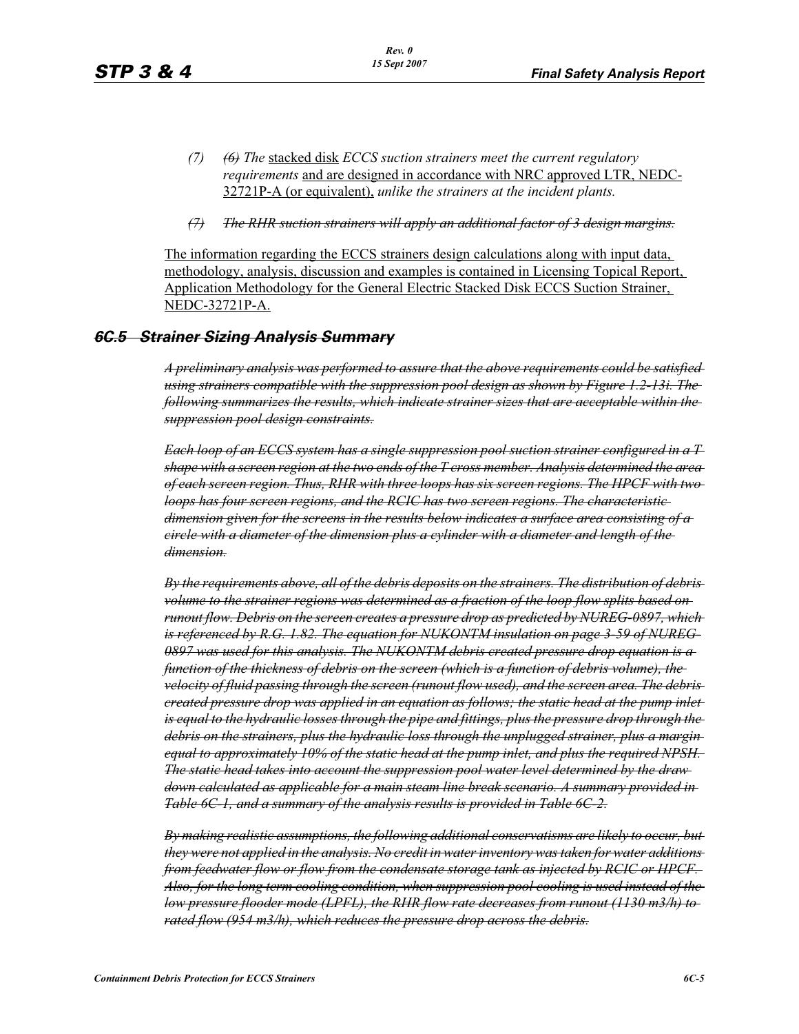- *(7) (6) The* stacked disk *ECCS suction strainers meet the current regulatory requirements* and are designed in accordance with NRC approved LTR, NEDC-32721P-A (or equivalent), *unlike the strainers at the incident plants.*
- *(7) The RHR suction strainers will apply an additional factor of 3 design margins.*

The information regarding the ECCS strainers design calculations along with input data, methodology, analysis, discussion and examples is contained in Licensing Topical Report, Application Methodology for the General Electric Stacked Disk ECCS Suction Strainer, NEDC-32721P-A.

# *6C.5 Strainer Sizing Analysis Summary*

*A preliminary analysis was performed to assure that the above requirements could be satisfied using strainers compatible with the suppression pool design as shown by Figure 1.2-13i. The following summarizes the results, which indicate strainer sizes that are acceptable within the suppression pool design constraints.*

*Each loop of an ECCS system has a single suppression pool suction strainer configured in a T shape with a screen region at the two ends of the T cross member. Analysis determined the area of each screen region. Thus, RHR with three loops has six screen regions. The HPCF with two loops has four screen regions, and the RCIC has two screen regions. The characteristic dimension given for the screens in the results below indicates a surface area consisting of a circle with a diameter of the dimension plus a cylinder with a diameter and length of the dimension.*

*By the requirements above, all of the debris deposits on the strainers. The distribution of debris volume to the strainer regions was determined as a fraction of the loop flow splits based on runout flow. Debris on the screen creates a pressure drop as predicted by NUREG-0897, which is referenced by R.G. 1.82. The equation for NUKONTM insulation on page 3-59 of NUREG-0897 was used for this analysis. The NUKONTM debris created pressure drop equation is a function of the thickness of debris on the screen (which is a function of debris volume), the velocity of fluid passing through the screen (runout flow used), and the screen area. The debris created pressure drop was applied in an equation as follows; the static head at the pump inlet is equal to the hydraulic losses through the pipe and fittings, plus the pressure drop through the debris on the strainers, plus the hydraulic loss through the unplugged strainer, plus a margin equal to approximately 10% of the static head at the pump inlet, and plus the required NPSH. The static head takes into account the suppression pool water level determined by the draw down calculated as applicable for a main steam line break scenario. A summary provided in Table 6C-1, and a summary of the analysis results is provided in Table 6C-2.*

*By making realistic assumptions, the following additional conservatisms are likely to occur, but they were not applied in the analysis. No credit in water inventory was taken for water additions from feedwater flow or flow from the condensate storage tank as injected by RCIC or HPCF. Also, for the long term cooling condition, when suppression pool cooling is used instead of the low pressure flooder mode (LPFL), the RHR flow rate decreases from runout (1130 m3/h) to rated flow (954 m3/h), which reduces the pressure drop across the debris.*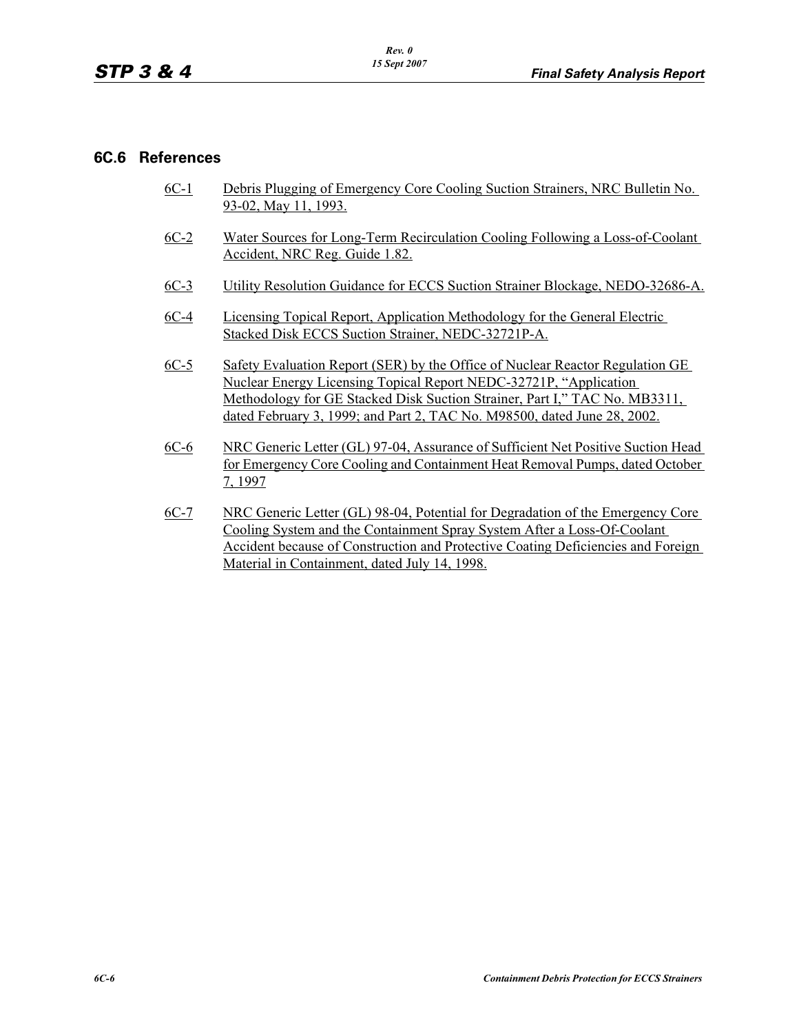#### **6C.6 References**

- 6C-1 Debris Plugging of Emergency Core Cooling Suction Strainers, NRC Bulletin No. 93-02, May 11, 1993.
- 6C-2 Water Sources for Long-Term Recirculation Cooling Following a Loss-of-Coolant Accident, NRC Reg. Guide 1.82.
- 6C-3 Utility Resolution Guidance for ECCS Suction Strainer Blockage, NEDO-32686-A.
- 6C-4 Licensing Topical Report, Application Methodology for the General Electric Stacked Disk ECCS Suction Strainer, NEDC-32721P-A.
- 6C-5 Safety Evaluation Report (SER) by the Office of Nuclear Reactor Regulation GE Nuclear Energy Licensing Topical Report NEDC-32721P, "Application Methodology for GE Stacked Disk Suction Strainer, Part I," TAC No. MB3311, dated February 3, 1999; and Part 2, TAC No. M98500, dated June 28, 2002.
- 6C-6 NRC Generic Letter (GL) 97-04, Assurance of Sufficient Net Positive Suction Head for Emergency Core Cooling and Containment Heat Removal Pumps, dated October 7, 1997
- 6C-7 NRC Generic Letter (GL) 98-04, Potential for Degradation of the Emergency Core Cooling System and the Containment Spray System After a Loss-Of-Coolant Accident because of Construction and Protective Coating Deficiencies and Foreign Material in Containment, dated July 14, 1998.